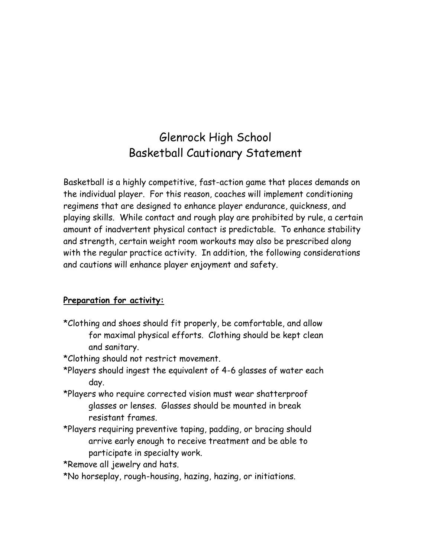# Glenrock High School Basketball Cautionary Statement

Basketball is a highly competitive, fast-action game that places demands on the individual player. For this reason, coaches will implement conditioning regimens that are designed to enhance player endurance, quickness, and playing skills. While contact and rough play are prohibited by rule, a certain amount of inadvertent physical contact is predictable. To enhance stability and strength, certain weight room workouts may also be prescribed along with the regular practice activity. In addition, the following considerations and cautions will enhance player enjoyment and safety.

#### **Preparation for activity:**

- \*Clothing and shoes should fit properly, be comfortable, and allow for maximal physical efforts. Clothing should be kept clean and sanitary.
- \*Clothing should not restrict movement.
- \*Players should ingest the equivalent of 4-6 glasses of water each day.
- \*Players who require corrected vision must wear shatterproof glasses or lenses. Glasses should be mounted in break resistant frames.
- \*Players requiring preventive taping, padding, or bracing should arrive early enough to receive treatment and be able to participate in specialty work.
- \*Remove all jewelry and hats.
- \*No horseplay, rough-housing, hazing, hazing, or initiations.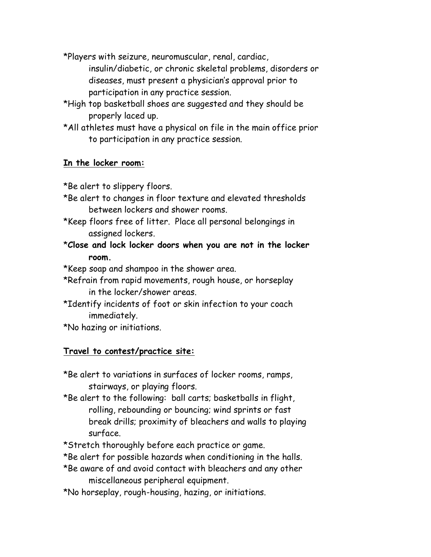\*Players with seizure, neuromuscular, renal, cardiac, insulin/diabetic, or chronic skeletal problems, disorders or diseases, must present a physician's approval prior to participation in any practice session.

- \*High top basketball shoes are suggested and they should be properly laced up.
- \*All athletes must have a physical on file in the main office prior to participation in any practice session.

### **In the locker room:**

\*Be alert to slippery floors.

- \*Be alert to changes in floor texture and elevated thresholds between lockers and shower rooms.
- \*Keep floors free of litter. Place all personal belongings in assigned lockers.
- \***Close and lock locker doors when you are not in the locker room.**

\*Keep soap and shampoo in the shower area.

- \*Refrain from rapid movements, rough house, or horseplay in the locker/shower areas.
- \*Identify incidents of foot or skin infection to your coach immediately.

\*No hazing or initiations.

### **Travel to contest/practice site:**

- \*Be alert to variations in surfaces of locker rooms, ramps, stairways, or playing floors.
- \*Be alert to the following: ball carts; basketballs in flight, rolling, rebounding or bouncing; wind sprints or fast break drills; proximity of bleachers and walls to playing surface.
- \*Stretch thoroughly before each practice or game.
- \*Be alert for possible hazards when conditioning in the halls.
- \*Be aware of and avoid contact with bleachers and any other miscellaneous peripheral equipment.
- \*No horseplay, rough-housing, hazing, or initiations.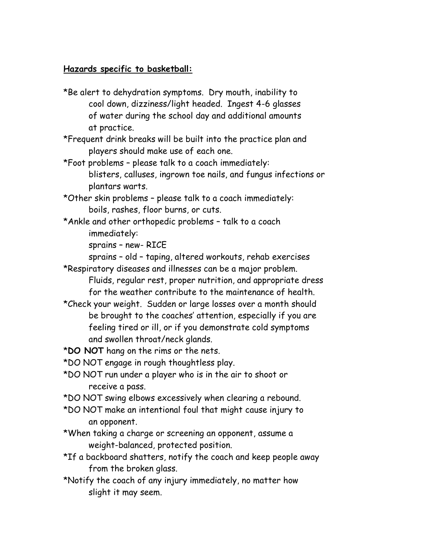#### **Hazards specific to basketball:**

- \*Be alert to dehydration symptoms. Dry mouth, inability to cool down, dizziness/light headed. Ingest 4-6 glasses of water during the school day and additional amounts at practice.
- \*Frequent drink breaks will be built into the practice plan and players should make use of each one.
- \*Foot problems please talk to a coach immediately: blisters, calluses, ingrown toe nails, and fungus infections or plantars warts.
- \*Other skin problems please talk to a coach immediately: boils, rashes, floor burns, or cuts.
- \*Ankle and other orthopedic problems talk to a coach immediately:
	- sprains new- RICE
	- sprains old taping, altered workouts, rehab exercises
- \*Respiratory diseases and illnesses can be a major problem. Fluids, regular rest, proper nutrition, and appropriate dress for the weather contribute to the maintenance of health.
- \*Check your weight. Sudden or large losses over a month should be brought to the coaches' attention, especially if you are feeling tired or ill, or if you demonstrate cold symptoms and swollen throat/neck glands.
- \***DO NOT** hang on the rims or the nets.
- \*DO NOT engage in rough thoughtless play.
- \*DO NOT run under a player who is in the air to shoot or receive a pass.
- \*DO NOT swing elbows excessively when clearing a rebound.
- \*DO NOT make an intentional foul that might cause injury to an opponent.
- \*When taking a charge or screening an opponent, assume a weight-balanced, protected position.
- \*If a backboard shatters, notify the coach and keep people away from the broken glass.
- \*Notify the coach of any injury immediately, no matter how slight it may seem.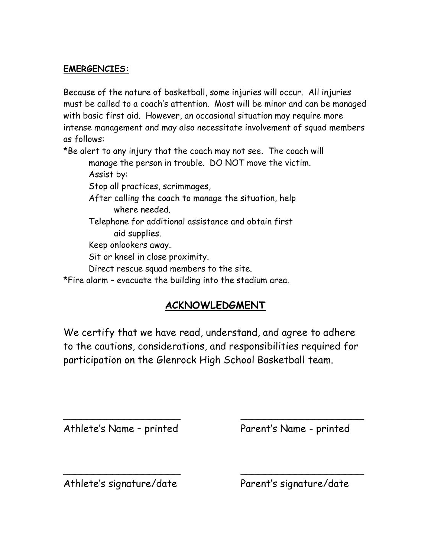### **EMERGENCIES:**

Because of the nature of basketball, some injuries will occur. All injuries must be called to a coach's attention. Most will be minor and can be managed with basic first aid. However, an occasional situation may require more intense management and may also necessitate involvement of squad members as follows:

\*Be alert to any injury that the coach may not see. The coach will

manage the person in trouble. DO NOT move the victim. Assist by:

Stop all practices, scrimmages,

After calling the coach to manage the situation, help where needed.

Telephone for additional assistance and obtain first aid supplies.

Keep onlookers away.

Sit or kneel in close proximity.

Direct rescue squad members to the site.

\*Fire alarm – evacuate the building into the stadium area.

## **ACKNOWLEDGMENT**

We certify that we have read, understand, and agree to adhere to the cautions, considerations, and responsibilities required for participation on the Glenrock High School Basketball team.

 $\overline{\phantom{a}}$  , and the contract of the contract of the contract of the contract of the contract of the contract of the contract of the contract of the contract of the contract of the contract of the contract of the contrac

 $\overline{\phantom{a}}$  , and the contract of the contract of the contract of the contract of the contract of the contract of the contract of the contract of the contract of the contract of the contract of the contract of the contrac

Athlete's Name - printed Parent's Name - printed

Athlete's signature/date Parent's signature/date